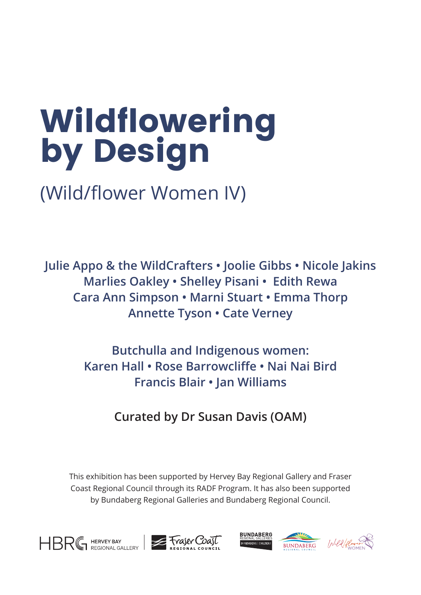# Wildflowering by Design

#### **Curated by Dr Susan Davis (OAM)**  $\sum_{i=1}^{n}$  imaginary  $\sum_{i=1}^{n}$

#### Butchulla and Indigenous women: **William Strategier and Strategier and Strategier and Strategier and Strategier and Strategier and Butchulla and Indigenous women: <b>Butchulla** and **Butchulla** Karen Hall • Rose Barrowcliffe • Nai Nai Bird **Francis Blair • Jan Williams**  $\Delta$ lilianog  $\epsilon$ Bundaberg, Fraser Coast and beyond transform the

**female artists creating new work across the art and**

(Wild/flower Women IV) **Wildflowering by Design**

Julie Appo & the WildCrafters • Joolie Gibbs • Nicole Jakins **Marlies Oakley • Shelley Pisani • Edith Rewa Cara Ann Simpson • Marni Stuart • Emma Thorp** Annette Tyson • Cate Verney

This exhibition has been supported by Hervey Bay Regional Gallery and Fraser Coast Regional Council through its RADF Program. It has also been supported by Bundaberg Regional Galleries and Bundaberg Regional Council. This exhibition is being supported by Bundaberg Regional Art Gallery Regional Art Gallery Regional Art Gallery Regional Art Gallery Regional Art Gallery Regional Art Gallery Regional Art Gallery Regional Art Gallery Regio and Bundal Bundal Council Council. It is also been been been by Hervey Bundal Council. It is also be supported between the Queensland Government and Fraser Coast Regional Council to **Bundaberg Regional Art Gallery**





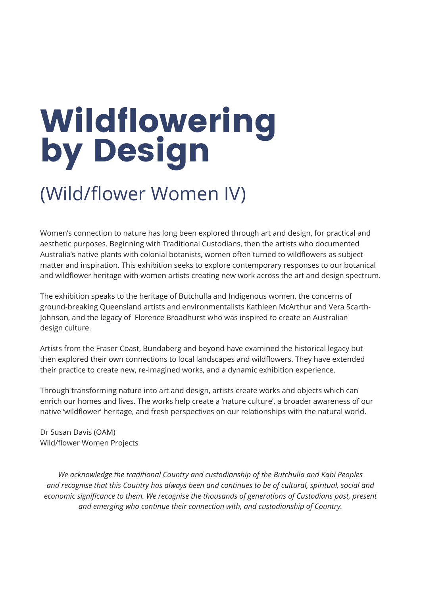Women's connection to nature has long been explored through art and design, for practical and aesthetic purposes. Beginning with Traditional Custodians, then the artists who documented Australia's native plants with colonial botanists, women often turned to wildflowers as subject matter and inspiration. This exhibition seeks to explore contemporary responses to our botanical and wildflower heritage with women artists creating new work across the art and design spectrum.

The exhibition speaks to the heritage of Butchulla and Indigenous women, the concerns of ground-breaking Queensland artists and environmentalists Kathleen McArthur and Vera Scarth-Johnson, and the legacy of Florence Broadhurst who was inspired to create an Australian design culture.

# Wildflowering by Design

Artists from the Fraser Coast, Bundaberg and beyond have examined the historical legacy but then explored their own connections to local landscapes and wildflowers. They have extended their practice to create new, re-imagined works, and a dynamic exhibition experience.

Through transforming nature into art and design, artists create works and objects which can enrich our homes and lives. The works help create a 'nature culture', a broader awareness of our native 'wildflower' heritage, and fresh perspectives on our relationships with the natural world.

Dr Susan Davis (OAM) Wild/flower Women Projects

*We acknowledge the traditional Country and custodianship of the Butchulla and Kabi Peoples and recognise that this Country has always been and continues to be of cultural, spiritual, social and economic significance to them. We recognise the thousands of generations of Custodians past, present and emerging who continue their connection with, and custodianship of Country.*

#### (Wild/flower Women IV)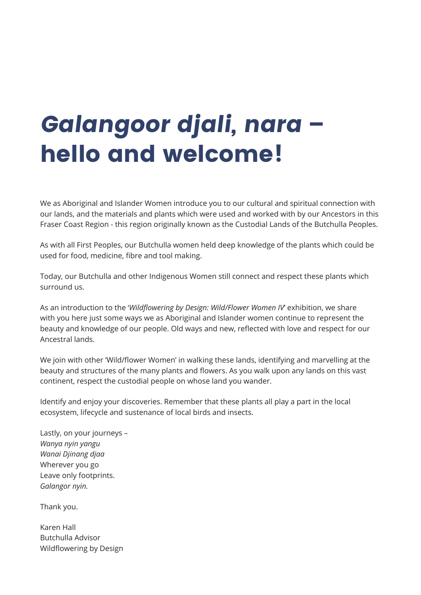We as Aboriginal and Islander Women introduce you to our cultural and spiritual connection with our lands, and the materials and plants which were used and worked with by our Ancestors in this Fraser Coast Region - this region originally known as the Custodial Lands of the Butchulla Peoples.

As with all First Peoples, our Butchulla women held deep knowledge of the plants which could be used for food, medicine, fibre and tool making.

Today, our Butchulla and other Indigenous Women still connect and respect these plants which surround us.

As an introduction to the '*Wildflowering by Design: Wild/Flower Women IV*' exhibition, we share with you here just some ways we as Aboriginal and Islander women continue to represent the beauty and knowledge of our people. Old ways and new, reflected with love and respect for our Ancestral lands.

We join with other 'Wild/flower Women' in walking these lands, identifying and marvelling at the beauty and structures of the many plants and flowers. As you walk upon any lands on this vast continent, respect the custodial people on whose land you wander.

Identify and enjoy your discoveries. Remember that these plants all play a part in the local ecosystem, lifecycle and sustenance of local birds and insects.

Lastly, on your journeys – *Wanya nyin yangu Wanai Djinang djaa* Wherever you go Leave only footprints. *Galangor nyin.*

Thank you.

Karen Hall Butchulla Advisor Wildflowering by Design

#### Galangoor djali, nara – hello and welcome!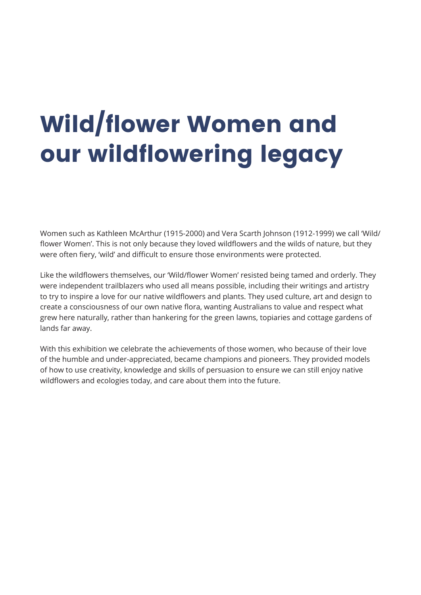Women such as Kathleen McArthur (1915-2000) and Vera Scarth Johnson (1912-1999) we call 'Wild/ flower Women'. This is not only because they loved wildflowers and the wilds of nature, but they were often fiery, 'wild' and difficult to ensure those environments were protected.

Like the wildflowers themselves, our 'Wild/flower Women' resisted being tamed and orderly. They were independent trailblazers who used all means possible, including their writings and artistry to try to inspire a love for our native wildflowers and plants. They used culture, art and design to create a consciousness of our own native flora, wanting Australians to value and respect what grew here naturally, rather than hankering for the green lawns, topiaries and cottage gardens of lands far away.

With this exhibition we celebrate the achievements of those women, who because of their love of the humble and under-appreciated, became champions and pioneers. They provided models of how to use creativity, knowledge and skills of persuasion to ensure we can still enjoy native wildflowers and ecologies today, and care about them into the future.

## Wild/flower Women and our wildflowering legacy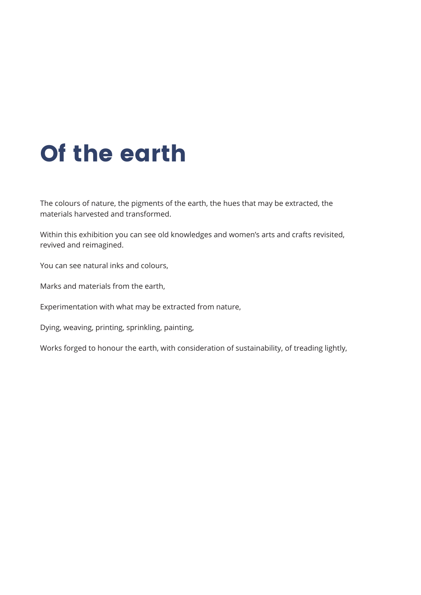The colours of nature, the pigments of the earth, the hues that may be extracted, the materials harvested and transformed.

Within this exhibition you can see old knowledges and women's arts and crafts revisited, revived and reimagined.

You can see natural inks and colours,

Marks and materials from the earth,

Experimentation with what may be extracted from nature,

Dying, weaving, printing, sprinkling, painting,

Works forged to honour the earth, with consideration of sustainability, of treading lightly,

#### Of the earth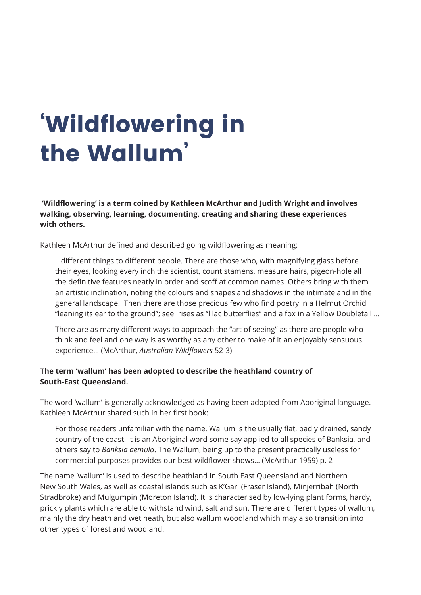**'Wildflowering' is a term coined by Kathleen McArthur and Judith Wright and involves walking, observing, learning, documenting, creating and sharing these experiences with others.**

Kathleen McArthur defined and described going wildflowering as meaning:

…different things to different people. There are those who, with magnifying glass before their eyes, looking every inch the scientist, count stamens, measure hairs, pigeon-hole all the definitive features neatly in order and scoff at common names. Others bring with them an artistic inclination, noting the colours and shapes and shadows in the intimate and in the general landscape. Then there are those precious few who find poetry in a Helmut Orchid "leaning its ear to the ground"; see Irises as "lilac butterflies" and a fox in a Yellow Doubletail …

There are as many different ways to approach the "art of seeing" as there are people who think and feel and one way is as worthy as any other to make of it an enjoyably sensuous experience… (McArthur, *Australian Wildflowers* 52-3)

#### **The term 'wallum' has been adopted to describe the heathland country of South-East Queensland.**

The word 'wallum' is generally acknowledged as having been adopted from Aboriginal language. Kathleen McArthur shared such in her first book:

For those readers unfamiliar with the name, Wallum is the usually flat, badly drained, sandy country of the coast. It is an Aboriginal word some say applied to all species of Banksia, and others say to *Banksia aemula*. The Wallum, being up to the present practically useless for commercial purposes provides our best wildflower shows… (McArthur 1959) p. 2

The name 'wallum' is used to describe heathland in South East Queensland and Northern New South Wales, as well as coastal islands such as K'Gari (Fraser Island), Minjerribah (North Stradbroke) and Mulgumpin (Moreton Island). It is characterised by low-lying plant forms, hardy, prickly plants which are able to withstand wind, salt and sun. There are different types of wallum, mainly the dry heath and wet heath, but also wallum woodland which may also transition into other types of forest and woodland.

## 'Wildflowering in the Wallum'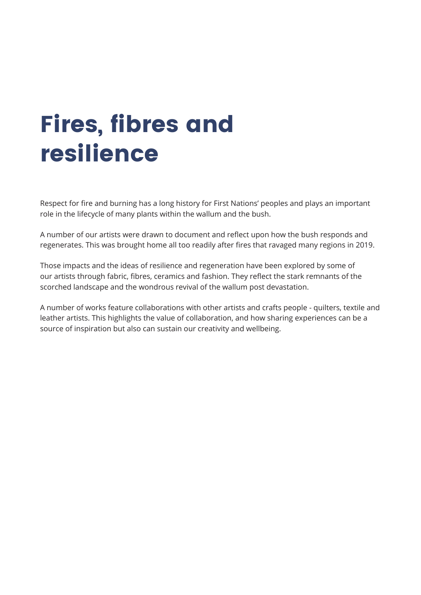Respect for fire and burning has a long history for First Nations' peoples and plays an important role in the lifecycle of many plants within the wallum and the bush.

A number of our artists were drawn to document and reflect upon how the bush responds and regenerates. This was brought home all too readily after fires that ravaged many regions in 2019.

Those impacts and the ideas of resilience and regeneration have been explored by some of our artists through fabric, fibres, ceramics and fashion. They reflect the stark remnants of the scorched landscape and the wondrous revival of the wallum post devastation.

A number of works feature collaborations with other artists and crafts people - quilters, textile and leather artists. This highlights the value of collaboration, and how sharing experiences can be a source of inspiration but also can sustain our creativity and wellbeing.

## Fires, fibres and resilience